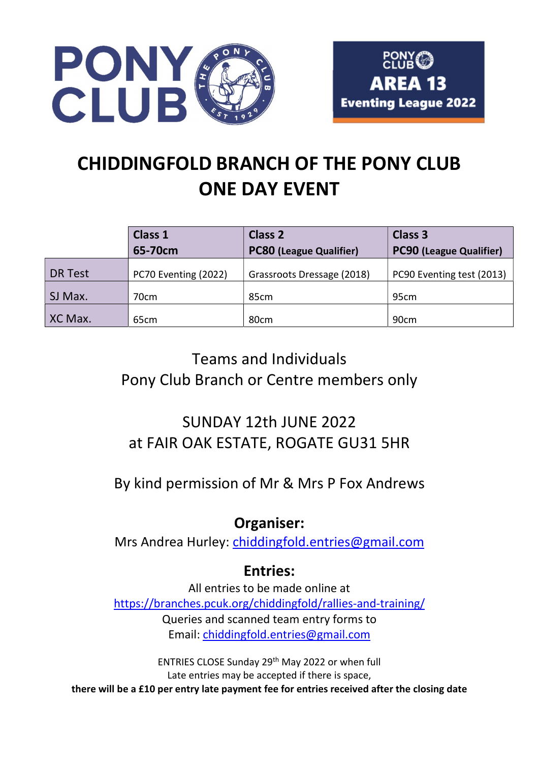



# CHIDDINGFOLD BRANCH OF THE PONY CLUB ONE DAY EVENT

|         | Class 1              | <b>Class 2</b>                 | <b>Class 3</b>                 |
|---------|----------------------|--------------------------------|--------------------------------|
|         | 65-70cm              | <b>PC80 (League Qualifier)</b> | <b>PC90 (League Qualifier)</b> |
| DR Test | PC70 Eventing (2022) | Grassroots Dressage (2018)     | PC90 Eventing test (2013)      |
| SJ Max. | 70cm                 | 85cm                           | 95cm                           |
| XC Max. | 65cm                 | 80 <sub>cm</sub>               | 90cm                           |

# Teams and Individuals Pony Club Branch or Centre members only

## SUNDAY 12th JUNE 2022 at FAIR OAK ESTATE, ROGATE GU31 5HR

By kind permission of Mr & Mrs P Fox Andrews

## Organiser:

Mrs Andrea Hurley: chiddingfold.entries@gmail.com

## Entries:

All entries to be made online at https://branches.pcuk.org/chiddingfold/rallies-and-training/ Queries and scanned team entry forms to Email: chiddingfold.entries@gmail.com

ENTRIES CLOSE Sunday 29th May 2022 or when full Late entries may be accepted if there is space, there will be a £10 per entry late payment fee for entries received after the closing date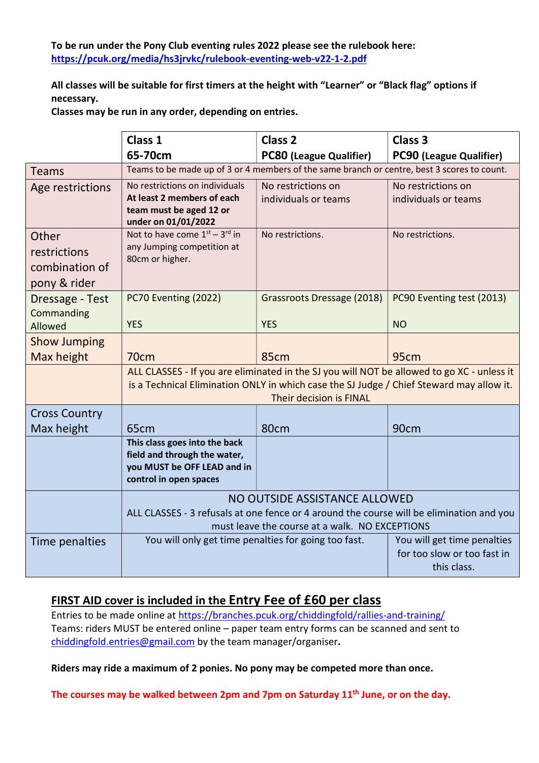To be run under the Pony Club eventing rules 2022 please see the rulebook here: https://pcuk.org/media/hs3jrvkc/rulebook-eventing-web-v22-1-2.pdf

All classes will be suitable for first timers at the height with "Learner" or "Black flag" options if necessary.

Classes may be run in any order, depending on entries.

|                                                         | Class 1                                                                                                                                                                                                           | <b>Class 2</b>                             | Class <sub>3</sub>                                                        |  |
|---------------------------------------------------------|-------------------------------------------------------------------------------------------------------------------------------------------------------------------------------------------------------------------|--------------------------------------------|---------------------------------------------------------------------------|--|
|                                                         | 65-70cm                                                                                                                                                                                                           | <b>PC80 (League Qualifier)</b>             | PC90 (League Qualifier)                                                   |  |
| <b>Teams</b>                                            | Teams to be made up of 3 or 4 members of the same branch or centre, best 3 scores to count.                                                                                                                       |                                            |                                                                           |  |
| Age restrictions                                        | No restrictions on individuals<br>At least 2 members of each<br>team must be aged 12 or<br>under on 01/01/2022                                                                                                    | No restrictions on<br>individuals or teams | No restrictions on<br>individuals or teams                                |  |
| Other<br>restrictions<br>combination of<br>pony & rider | Not to have come $1^{st} - 3^{rd}$ in<br>any Jumping competition at<br>80cm or higher.                                                                                                                            | No restrictions.                           | No restrictions.                                                          |  |
| Dressage - Test<br>Commanding<br>Allowed                | PC70 Eventing (2022)<br><b>YES</b>                                                                                                                                                                                | Grassroots Dressage (2018)<br><b>YES</b>   | PC90 Eventing test (2013)<br><b>NO</b>                                    |  |
| <b>Show Jumping</b>                                     |                                                                                                                                                                                                                   |                                            |                                                                           |  |
| Max height                                              | 70 <sub>cm</sub>                                                                                                                                                                                                  | 85cm                                       | 95cm                                                                      |  |
|                                                         | ALL CLASSES - If you are eliminated in the SJ you will NOT be allowed to go XC - unless it<br>is a Technical Elimination ONLY in which case the SJ Judge / Chief Steward may allow it.<br>Their decision is FINAL |                                            |                                                                           |  |
| <b>Cross Country</b>                                    |                                                                                                                                                                                                                   |                                            |                                                                           |  |
| Max height                                              | 65 <sub>cm</sub>                                                                                                                                                                                                  | 80cm                                       | 90cm                                                                      |  |
|                                                         | This class goes into the back<br>field and through the water,<br>you MUST be OFF LEAD and in<br>control in open spaces                                                                                            |                                            |                                                                           |  |
|                                                         | NO OUTSIDE ASSISTANCE ALLOWED                                                                                                                                                                                     |                                            |                                                                           |  |
|                                                         | ALL CLASSES - 3 refusals at one fence or 4 around the course will be elimination and you<br>must leave the course at a walk. NO EXCEPTIONS                                                                        |                                            |                                                                           |  |
| Time penalties                                          | You will only get time penalties for going too fast.                                                                                                                                                              |                                            | You will get time penalties<br>for too slow or too fast in<br>this class. |  |

### FIRST AID cover is included in the Entry Fee of £60 per class

Entries to be made online at https://branches.pcuk.org/chiddingfold/rallies-and-training/ Teams: riders MUST be entered online – paper team entry forms can be scanned and sent to chiddingfold.entries@gmail.com by the team manager/organiser.

Riders may ride a maximum of 2 ponies. No pony may be competed more than once.

The courses may be walked between 2pm and 7pm on Saturday  $11<sup>th</sup>$  June, or on the day.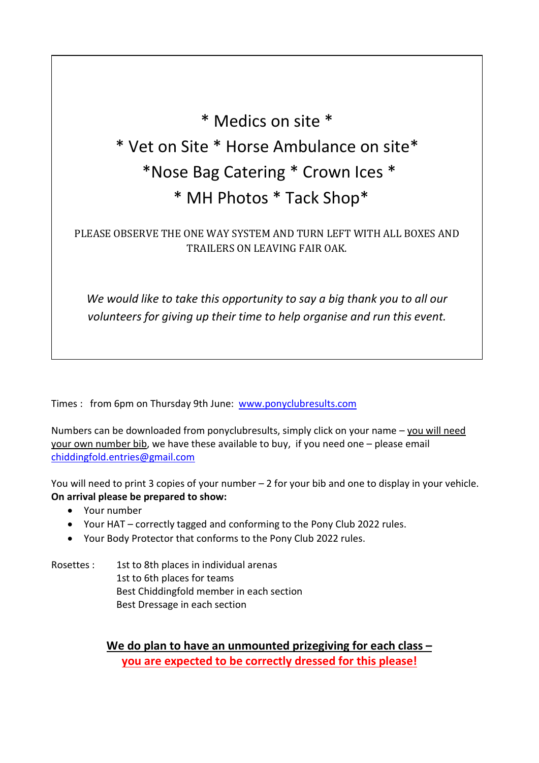# \* Medics on site \* \* Vet on Site \* Horse Ambulance on site\* \*Nose Bag Catering \* Crown Ices \* \* MH Photos \* Tack Shop\*

## PLEASE OBSERVE THE ONE WAY SYSTEM AND TURN LEFT WITH ALL BOXES AND TRAILERS ON LEAVING FAIR OAK.

We would like to take this opportunity to say a big thank you to all our volunteers for giving up their time to help organise and run this event.

Times : from 6pm on Thursday 9th June: www.ponyclubresults.com

Numbers can be downloaded from ponyclubresults, simply click on your name – you will need your own number bib, we have these available to buy, if you need one – please email chiddingfold.entries@gmail.com

You will need to print 3 copies of your number – 2 for your bib and one to display in your vehicle. On arrival please be prepared to show:

- Your number
- Your HAT correctly tagged and conforming to the Pony Club 2022 rules.
- Your Body Protector that conforms to the Pony Club 2022 rules.

Rosettes : 1st to 8th places in individual arenas 1st to 6th places for teams Best Chiddingfold member in each section Best Dressage in each section

> We do plan to have an unmounted prizegiving for each class you are expected to be correctly dressed for this please!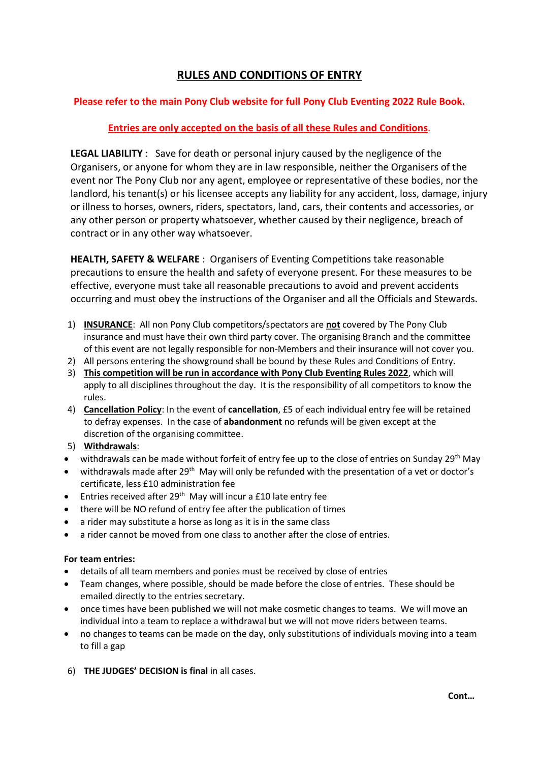### RULES AND CONDITIONS OF ENTRY

### Please refer to the main Pony Club website for full Pony Club Eventing 2022 Rule Book.

#### Entries are only accepted on the basis of all these Rules and Conditions.

LEGAL LIABILITY : Save for death or personal injury caused by the negligence of the Organisers, or anyone for whom they are in law responsible, neither the Organisers of the event nor The Pony Club nor any agent, employee or representative of these bodies, nor the landlord, his tenant(s) or his licensee accepts any liability for any accident, loss, damage, injury or illness to horses, owners, riders, spectators, land, cars, their contents and accessories, or any other person or property whatsoever, whether caused by their negligence, breach of contract or in any other way whatsoever.

 HEALTH, SAFETY & WELFARE : Organisers of Eventing Competitions take reasonable precautions to ensure the health and safety of everyone present. For these measures to be effective, everyone must take all reasonable precautions to avoid and prevent accidents occurring and must obey the instructions of the Organiser and all the Officials and Stewards.

- 1) INSURANCE: All non Pony Club competitors/spectators are not covered by The Pony Club insurance and must have their own third party cover. The organising Branch and the committee of this event are not legally responsible for non-Members and their insurance will not cover you.
- 2) All persons entering the showground shall be bound by these Rules and Conditions of Entry.
- 3) This competition will be run in accordance with Pony Club Eventing Rules 2022, which will apply to all disciplines throughout the day. It is the responsibility of all competitors to know the rules.
- 4) Cancellation Policy: In the event of cancellation, £5 of each individual entry fee will be retained to defray expenses. In the case of abandonment no refunds will be given except at the discretion of the organising committee.
- 5) Withdrawals:
- $\bullet$  withdrawals can be made without forfeit of entry fee up to the close of entries on Sunday 29<sup>th</sup> May
- $\bullet$  withdrawals made after 29<sup>th</sup> May will only be refunded with the presentation of a vet or doctor's certificate, less £10 administration fee
- **Entries received after 29<sup>th</sup> May will incur a £10 late entry fee**
- there will be NO refund of entry fee after the publication of times
- a rider may substitute a horse as long as it is in the same class
- a rider cannot be moved from one class to another after the close of entries.

#### For team entries:

- details of all team members and ponies must be received by close of entries
- Team changes, where possible, should be made before the close of entries. These should be emailed directly to the entries secretary.
- once times have been published we will not make cosmetic changes to teams. We will move an individual into a team to replace a withdrawal but we will not move riders between teams.
- no changes to teams can be made on the day, only substitutions of individuals moving into a team to fill a gap
- 6) THE JUDGES' DECISION is final in all cases.